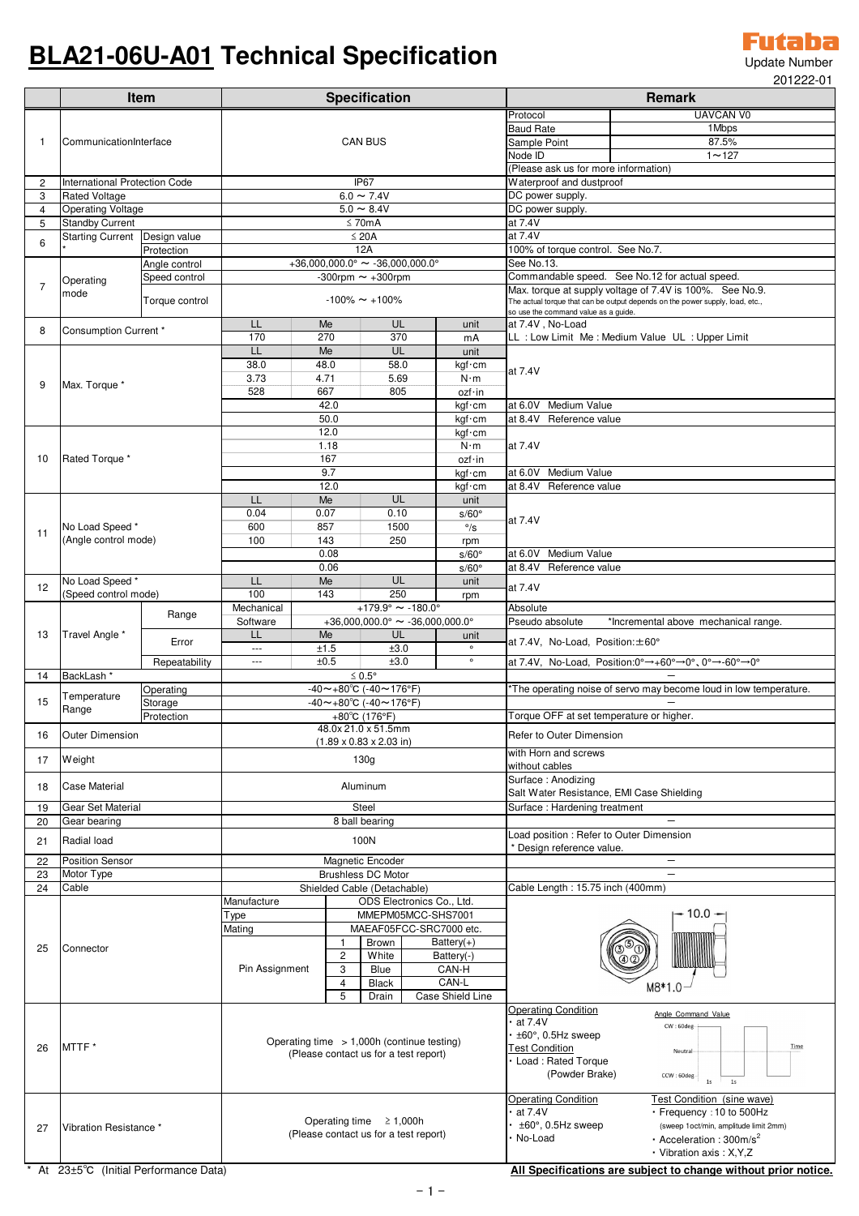## **BLA21-06U-A01 Technical Specification**

Futaba Update Number 201222-01

|                     | <b>Item</b>                                                             |                               | <b>Specification</b>                                                                  |                                    |                                             |                         |                                                         | LU I LLL-U<br><b>Remark</b>                                                                                                                                            |                                                                               |  |
|---------------------|-------------------------------------------------------------------------|-------------------------------|---------------------------------------------------------------------------------------|------------------------------------|---------------------------------------------|-------------------------|---------------------------------------------------------|------------------------------------------------------------------------------------------------------------------------------------------------------------------------|-------------------------------------------------------------------------------|--|
|                     |                                                                         |                               |                                                                                       |                                    |                                             |                         |                                                         | Protocol                                                                                                                                                               | <b>UAVCAN V0</b>                                                              |  |
|                     |                                                                         |                               |                                                                                       |                                    |                                             |                         |                                                         | <b>Baud Rate</b>                                                                                                                                                       | 1 Mbps                                                                        |  |
| -1                  |                                                                         | CommunicationInterface        |                                                                                       | <b>CAN BUS</b>                     |                                             |                         |                                                         | Sample Point                                                                                                                                                           | 87.5%                                                                         |  |
|                     |                                                                         |                               |                                                                                       |                                    |                                             |                         |                                                         | Node ID                                                                                                                                                                | $1 - 127$                                                                     |  |
|                     |                                                                         | International Protection Code |                                                                                       | IP67                               |                                             |                         |                                                         | (Please ask us for more information)<br>Waterproof and dustproof                                                                                                       |                                                                               |  |
| $\overline{c}$<br>3 | <b>Rated Voltage</b>                                                    |                               | $6.0 \sim 7.4V$                                                                       |                                    |                                             |                         |                                                         | DC power supply.                                                                                                                                                       |                                                                               |  |
| $\overline{4}$      | <b>Operating Voltage</b>                                                |                               | $5.0 \sim 8.4V$                                                                       |                                    |                                             |                         |                                                         | DC power supply.                                                                                                                                                       |                                                                               |  |
| 5                   | <b>Standby Current</b>                                                  |                               | $\leq$ 70mA                                                                           |                                    |                                             |                         |                                                         | at 7.4V                                                                                                                                                                |                                                                               |  |
| 6                   | <b>Starting Current</b>                                                 | Design value                  | $\leq 20A$                                                                            |                                    |                                             |                         |                                                         | at 7.4V                                                                                                                                                                |                                                                               |  |
|                     | Protection                                                              |                               | 12A                                                                                   |                                    |                                             |                         |                                                         | 100% of torque control. See No.7.                                                                                                                                      |                                                                               |  |
| $\overline{7}$      | Angle control<br>Speed control<br>Operating<br>mode<br>Torque control   |                               | +36,000,000.0° $\sim$ -36,000,000.0°                                                  |                                    |                                             |                         |                                                         | See No.13.                                                                                                                                                             |                                                                               |  |
|                     |                                                                         |                               | -300rpm $\sim$ +300rpm<br>$-100\%$ ~ $+100\%$<br>LL<br>Me<br>UL<br>unit               |                                    |                                             |                         |                                                         | Commandable speed. See No.12 for actual speed.<br>Max. torque at supply voltage of 7.4V is 100%. See No.9.                                                             |                                                                               |  |
|                     |                                                                         |                               |                                                                                       |                                    |                                             |                         |                                                         |                                                                                                                                                                        | The actual torque that can be output depends on the power supply, load, etc., |  |
|                     |                                                                         |                               |                                                                                       |                                    |                                             |                         |                                                         | so use the command value as a guide.<br>at 7.4V, No-Load                                                                                                               |                                                                               |  |
| 8                   | Consumption Current *                                                   |                               | 170                                                                                   | 270                                | 370                                         |                         | mA                                                      | LL : Low Limit Me : Medium Value UL : Upper Limit                                                                                                                      |                                                                               |  |
|                     | Max. Torque *                                                           |                               | LL.                                                                                   | Me                                 | UL                                          |                         | unit                                                    |                                                                                                                                                                        |                                                                               |  |
|                     |                                                                         |                               | 38.0                                                                                  | 48.0                               | 58.0                                        |                         | kgf · cm                                                | at 7.4V<br>at 6.0V Medium Value                                                                                                                                        |                                                                               |  |
| 9                   |                                                                         |                               | 3.73                                                                                  | 4.71                               | 5.69                                        |                         | $N \cdot m$                                             |                                                                                                                                                                        |                                                                               |  |
|                     |                                                                         |                               | 528                                                                                   | 667                                | 805                                         |                         | ozf·in                                                  |                                                                                                                                                                        |                                                                               |  |
|                     |                                                                         |                               | 42.0<br>kgf · cm<br>50.0<br>kgf · cm                                                  |                                    |                                             |                         | at 8.4V Reference value                                 |                                                                                                                                                                        |                                                                               |  |
|                     |                                                                         |                               | 12.0<br>kgf · cm                                                                      |                                    |                                             |                         |                                                         |                                                                                                                                                                        |                                                                               |  |
| 10                  |                                                                         |                               |                                                                                       | 1.18                               |                                             |                         | $N \cdot m$                                             | at 7.4V                                                                                                                                                                |                                                                               |  |
|                     | Rated Torque *                                                          |                               | 167                                                                                   |                                    |                                             | ozf·in                  |                                                         |                                                                                                                                                                        |                                                                               |  |
|                     |                                                                         |                               | 9.7                                                                                   |                                    |                                             | kgf · cm                | at 6.0V Medium Value                                    |                                                                                                                                                                        |                                                                               |  |
|                     |                                                                         |                               | LL.                                                                                   | 12.0<br>Me                         | UL                                          |                         | kgf · cm                                                | at 8.4V Reference value                                                                                                                                                |                                                                               |  |
|                     |                                                                         |                               | 0.04                                                                                  | 0.07                               | 0.10                                        |                         | unit<br>$s/60^\circ$                                    |                                                                                                                                                                        |                                                                               |  |
| 11                  | No Load Speed *                                                         |                               | 600                                                                                   | 857                                | 1500                                        |                         | $^{\circ}/s$                                            |                                                                                                                                                                        | at 7.4V                                                                       |  |
|                     | (Angle control mode)<br>No Load Speed *<br>(Speed control mode)         |                               | 100                                                                                   | 143                                | 250                                         |                         | rpm                                                     |                                                                                                                                                                        |                                                                               |  |
|                     |                                                                         |                               | 0.08                                                                                  |                                    | $s/60^\circ$                                | at 6.0V Medium Value    |                                                         |                                                                                                                                                                        |                                                                               |  |
|                     |                                                                         |                               | 0.06<br><b>UL</b>                                                                     |                                    | $s/60^\circ$                                | at 8.4V Reference value |                                                         |                                                                                                                                                                        |                                                                               |  |
| 12                  |                                                                         |                               | LL<br>100                                                                             | Me<br>143                          | 250                                         |                         | unit<br>rpm                                             | at 7.4V                                                                                                                                                                |                                                                               |  |
|                     |                                                                         |                               | $+179.9^{\circ} \sim -180.0^{\circ}$<br>Mechanical                                    |                                    |                                             | Absolute                |                                                         |                                                                                                                                                                        |                                                                               |  |
| 13                  |                                                                         | Range                         | $+36,000,000.0^{\circ} \sim -36,000,000.0^{\circ}$<br>Software                        |                                    |                                             |                         | Pseudo absolute<br>*Incremental above mechanical range. |                                                                                                                                                                        |                                                                               |  |
|                     | Travel Angle *                                                          | Error                         | LL                                                                                    | Me                                 | UL                                          |                         | unit                                                    | at 7.4V, No-Load, Position: ±60°                                                                                                                                       |                                                                               |  |
|                     |                                                                         |                               | $\overline{\phantom{a}}$                                                              | ±1.5                               | ±3.0                                        |                         | $\circ$<br>$\circ$                                      |                                                                                                                                                                        |                                                                               |  |
| 14                  | BackLash *                                                              | Repeatability                 | $\overline{\phantom{a}}$                                                              | ±3.0<br>±0.5<br>$\leq 0.5^{\circ}$ |                                             |                         | at 7.4V, No-Load, Position:0°→+60°→0°, 0°→-60°→0°       |                                                                                                                                                                        |                                                                               |  |
|                     |                                                                         | Operating                     | $-40 \sim +80^{\circ}$ C ( $-40 \sim 176^{\circ}$ F)                                  |                                    |                                             |                         |                                                         | *The operating noise of servo may become loud in low temperature.                                                                                                      |                                                                               |  |
| 15                  | Temperature<br>Storage<br>Range<br>Protection<br><b>Outer Dimension</b> |                               | $-40$ ~+80°C (-40~176°F)                                                              |                                    |                                             |                         |                                                         |                                                                                                                                                                        |                                                                               |  |
|                     |                                                                         |                               | $+80^{\circ}$ C (176°F)                                                               |                                    |                                             |                         |                                                         | Torque OFF at set temperature or higher.                                                                                                                               |                                                                               |  |
| 16                  |                                                                         |                               | 48.0x 21.0 x 51.5mm                                                                   |                                    |                                             |                         |                                                         | Refer to Outer Dimension                                                                                                                                               |                                                                               |  |
|                     |                                                                         |                               | $(1.89 \times 0.83 \times 2.03 \text{ in})$                                           |                                    |                                             |                         |                                                         | with Horn and screws                                                                                                                                                   |                                                                               |  |
| 17                  | Weight                                                                  |                               | 130 <sub>g</sub>                                                                      |                                    |                                             |                         |                                                         | without cables                                                                                                                                                         |                                                                               |  |
| 18                  | <b>Case Material</b>                                                    |                               | Aluminum                                                                              |                                    |                                             |                         |                                                         | Surface: Anodizing                                                                                                                                                     |                                                                               |  |
|                     |                                                                         |                               |                                                                                       |                                    |                                             |                         |                                                         | Salt Water Resistance, EMI Case Shielding                                                                                                                              |                                                                               |  |
| 19<br>20            | Gear Set Material                                                       |                               | Steel                                                                                 |                                    |                                             |                         |                                                         | Surface: Hardening treatment                                                                                                                                           | $\overline{\phantom{0}}$                                                      |  |
|                     | Gear bearing                                                            |                               | 8 ball bearing                                                                        |                                    |                                             |                         |                                                         | Load position: Refer to Outer Dimension                                                                                                                                |                                                                               |  |
| 21                  | Radial load                                                             |                               | 100N                                                                                  |                                    |                                             |                         |                                                         | * Design reference value.                                                                                                                                              |                                                                               |  |
| 22                  | <b>Position Sensor</b>                                                  |                               | Magnetic Encoder                                                                      |                                    |                                             |                         |                                                         |                                                                                                                                                                        |                                                                               |  |
| 23                  | Motor Type                                                              |                               | <b>Brushless DC Motor</b>                                                             |                                    |                                             |                         |                                                         |                                                                                                                                                                        | $\qquad \qquad -$                                                             |  |
| 24                  | Cable                                                                   |                               | Shielded Cable (Detachable)<br>ODS Electronics Co., Ltd.<br>Manufacture               |                                    |                                             |                         |                                                         | Cable Length: 15.75 inch (400mm)                                                                                                                                       |                                                                               |  |
| 25                  | Connector                                                               |                               | MMEPM05MCC-SHS7001<br>Type                                                            |                                    |                                             |                         |                                                         | $-10.0 -$                                                                                                                                                              |                                                                               |  |
|                     |                                                                         |                               | MAEAF05FCC-SRC7000 etc.<br>Mating                                                     |                                    |                                             |                         |                                                         |                                                                                                                                                                        |                                                                               |  |
|                     |                                                                         |                               |                                                                                       | $\mathbf{1}$                       | Brown<br>Battery $(+)$                      |                         |                                                         |                                                                                                                                                                        |                                                                               |  |
|                     |                                                                         |                               |                                                                                       | $\overline{c}$                     | White<br>Battery(-)                         |                         |                                                         |                                                                                                                                                                        |                                                                               |  |
|                     |                                                                         |                               | Pin Assignment<br>3<br>4<br>5                                                         |                                    | Blue                                        | CAN-H                   |                                                         | M8*1.0                                                                                                                                                                 |                                                                               |  |
|                     |                                                                         |                               |                                                                                       |                                    | CAN-L<br>Black<br>Case Shield Line<br>Drain |                         |                                                         |                                                                                                                                                                        |                                                                               |  |
|                     | MTTF*                                                                   |                               | Operating time $> 1,000h$ (continue testing)<br>(Please contact us for a test report) |                                    |                                             |                         |                                                         | <b>Operating Condition</b>                                                                                                                                             | Angle Command Value                                                           |  |
|                     |                                                                         |                               |                                                                                       |                                    |                                             |                         |                                                         | at 7.4V<br>CW:60deg<br>$\pm 60^\circ$ , 0.5Hz sweep<br>Time<br><b>Test Condition</b><br>Neutral<br>Load: Rated Torque<br>(Powder Brake)<br>CCW: 60deg-<br>$1s$<br>$1s$ |                                                                               |  |
|                     |                                                                         |                               |                                                                                       |                                    |                                             |                         |                                                         |                                                                                                                                                                        |                                                                               |  |
| 26                  |                                                                         |                               |                                                                                       |                                    |                                             |                         |                                                         |                                                                                                                                                                        |                                                                               |  |
|                     |                                                                         |                               |                                                                                       |                                    |                                             |                         |                                                         |                                                                                                                                                                        |                                                                               |  |
|                     |                                                                         |                               |                                                                                       |                                    |                                             |                         |                                                         |                                                                                                                                                                        |                                                                               |  |
|                     |                                                                         |                               |                                                                                       |                                    |                                             |                         |                                                         | <b>Operating Condition</b>                                                                                                                                             | Test Condition (sine wave)                                                    |  |
|                     | Vibration Resistance *                                                  |                               | Operating time $\geq 1,000h$<br>(Please contact us for a test report)                 |                                    |                                             |                         |                                                         | at 7.4V<br>$\pm 60^\circ$ , 0.5Hz sweep                                                                                                                                | • Frequency : 10 to 500Hz<br>(sweep 1oct/min, amplitude limit 2mm)            |  |
| 27                  |                                                                         |                               |                                                                                       |                                    |                                             |                         |                                                         | No-Load                                                                                                                                                                | $\cdot$ Acceleration : 300m/s <sup>2</sup>                                    |  |
|                     |                                                                         |                               |                                                                                       |                                    |                                             |                         |                                                         |                                                                                                                                                                        | · Vibration axis: X, Y, Z                                                     |  |

\* At 23±5℃ (Initial Performance Data) **All Specifications are subject to change without prior notice.**